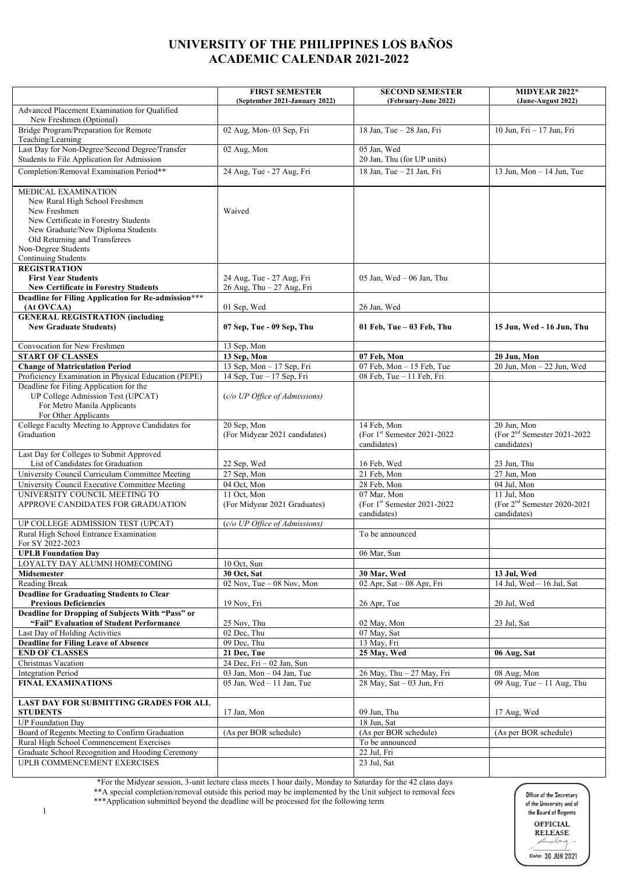## **UNIVERSITY OF THE PHILIPPINES LOS BAÑOS ACADEMIC CALENDAR 2021-2022**

|                                                                                                                                                                                                                                   | <b>FIRST SEMESTER</b>                        | <b>SECOND SEMESTER</b>                                       | MIDYEAR 2022*                                               |
|-----------------------------------------------------------------------------------------------------------------------------------------------------------------------------------------------------------------------------------|----------------------------------------------|--------------------------------------------------------------|-------------------------------------------------------------|
| Advanced Placement Examination for Qualified<br>New Freshmen (Optional)                                                                                                                                                           | (September 2021-January 2022)                | (February-June 2022)                                         | (June-August 2022)                                          |
| Bridge Program/Preparation for Remote<br>Teaching/Learning                                                                                                                                                                        | 02 Aug, Mon- 03 Sep, Fri                     | 18 Jan, Tue - 28 Jan, Fri                                    | 10 Jun, Fri - 17 Jun, Fri                                   |
| Last Day for Non-Degree/Second Degree/Transfer<br>Students to File Application for Admission                                                                                                                                      | 02 Aug, Mon                                  | 05 Jan, Wed<br>20 Jan, Thu (for UP units)                    |                                                             |
| Completion/Removal Examination Period**                                                                                                                                                                                           | 24 Aug, Tue - 27 Aug, Fri                    | 18 Jan, Tue - 21 Jan, Fri                                    | 13 Jun, Mon $-$ 14 Jun, Tue                                 |
| MEDICAL EXAMINATION<br>New Rural High School Freshmen<br>New Freshmen<br>New Certificate in Forestry Students<br>New Graduate/New Diploma Students<br>Old Returning and Transferees<br>Non-Degree Students<br>Continuing Students | Waived                                       |                                                              |                                                             |
| <b>REGISTRATION</b><br><b>First Year Students</b>                                                                                                                                                                                 | 24 Aug, Tue - 27 Aug, Fri                    | 05 Jan, Wed $-$ 06 Jan, Thu                                  |                                                             |
| <b>New Certificate in Forestry Students</b>                                                                                                                                                                                       | 26 Aug, Thu - 27 Aug, Fri                    |                                                              |                                                             |
| <b>Deadline for Filing Application for Re-admission***</b><br>(At OVCAA)                                                                                                                                                          | 01 Sep, Wed                                  | 26 Jan, Wed                                                  |                                                             |
| <b>GENERAL REGISTRATION (including</b>                                                                                                                                                                                            |                                              |                                                              |                                                             |
| <b>New Graduate Students)</b>                                                                                                                                                                                                     | 07 Sep, Tue - 09 Sep, Thu                    | 01 Feb, Tue - 03 Feb, Thu                                    | 15 Jun, Wed - 16 Jun, Thu                                   |
| Convocation for New Freshmen                                                                                                                                                                                                      | 13 Sep, Mon                                  |                                                              |                                                             |
| <b>START OF CLASSES</b>                                                                                                                                                                                                           | 13 Sep, Mon                                  | 07 Feb, Mon                                                  | 20 Jun, Mon                                                 |
| <b>Change of Matriculation Period</b>                                                                                                                                                                                             | 13 Sep, Mon - 17 Sep, Fri                    | 07 Feb, Mon $-15$ Feb, Tue                                   | $20$ Jun, Mon $-22$ Jun, Wed                                |
| Proficiency Examination in Physical Education (PEPE)                                                                                                                                                                              | 14 Sep, Tue - 17 Sep, Fri                    | 08 Feb, Tue - 11 Feb, Fri                                    |                                                             |
| Deadline for Filing Application for the<br>UP College Admission Test (UPCAT)<br>For Metro Manila Applicants<br>For Other Applicants                                                                                               | (c/o UP Office of Admissions)                |                                                              |                                                             |
| College Faculty Meeting to Approve Candidates for<br>Graduation                                                                                                                                                                   | 20 Sep, Mon<br>(For Midyear 2021 candidates) | 14 Feb, Mon<br>(For $1st$ Semester 2021-2022)<br>candidates) | 20 Jun, Mon<br>(For $2nd$ Semester 2021-2022<br>candidates) |
| Last Day for Colleges to Submit Approved<br>List of Candidates for Graduation                                                                                                                                                     |                                              |                                                              |                                                             |
| University Council Curriculum Committee Meeting                                                                                                                                                                                   | 22 Sep, Wed<br>27 Sep, Mon                   | 16 Feb, Wed<br>21 Feb, Mon                                   | 23 Jun, Thu<br>27 Jun, Mon                                  |
|                                                                                                                                                                                                                                   |                                              |                                                              |                                                             |
| University Council Executive Committee Meeting<br>UNIVERSITY COUNCIL MEETING TO                                                                                                                                                   | 04 Oct, Mon<br>11 Oct, Mon                   | 28 Feb, Mon<br>07 Mar, Mon                                   | 04 Jul, Mon<br>11 Jul, Mon                                  |
| APPROVE CANDIDATES FOR GRADUATION                                                                                                                                                                                                 | (For Midyear 2021 Graduates)                 | (For $1st$ Semester 2021-2022)<br>candidates)                | (For $2nd$ Semester 2020-2021<br>candidates)                |
| UP COLLEGE ADMISSION TEST (UPCAT)                                                                                                                                                                                                 | (c/o UP Office of Admissions)                |                                                              |                                                             |
| Rural High School Entrance Examination<br>For SY 2022-2023                                                                                                                                                                        |                                              | To be announced                                              |                                                             |
| <b>UPLB</b> Foundation Day                                                                                                                                                                                                        |                                              | 06 Mar, Sun                                                  |                                                             |
| LOYALTY DAY ALUMNI HOMECOMING                                                                                                                                                                                                     | 10 Oct, Sun                                  |                                                              |                                                             |
| Midsemester                                                                                                                                                                                                                       | 30 Oct, Sat                                  | 30 Mar, Wed                                                  | 13 Jul, Wed                                                 |
| Reading Break                                                                                                                                                                                                                     | $02$ Nov, Tue $-08$ Nov, Mon                 | 02 Apr, Sat - 08 Apr, Fri                                    | 14 Jul, Wed - 16 Jul, Sat                                   |
| <b>Deadline for Graduating Students to Clear</b><br><b>Previous Deficiencies</b>                                                                                                                                                  | 19 Nov, Fri                                  | 26 Apr, Tue                                                  | 20 Jul, Wed                                                 |
| Deadline for Dropping of Subjects With "Pass" or<br>"Fail" Evaluation of Student Performance                                                                                                                                      | 25 Nov, Thu                                  | 02 May, Mon                                                  | 23 Jul, Sat                                                 |
| Last Day of Holding Activities                                                                                                                                                                                                    | 02 Dec, Thu                                  | 07 May, Sat                                                  |                                                             |
| <b>Deadline for Filing Leave of Absence</b>                                                                                                                                                                                       | 09 Dec, Thu                                  | 13 May, Fri                                                  |                                                             |
| <b>END OF CLASSES</b>                                                                                                                                                                                                             | 21 Dec, Tue                                  | 25 May, Wed                                                  | 06 Aug, Sat                                                 |
| Christmas Vacation                                                                                                                                                                                                                | $24$ Dec, Fri $-02$ Jan, Sun                 |                                                              |                                                             |
| <b>Integration Period</b>                                                                                                                                                                                                         | 03 Jan, Mon - 04 Jan, Tue                    | 26 May, Thu - 27 May, Fri                                    | 08 Aug, Mon                                                 |
| <b>FINAL EXAMINATIONS</b>                                                                                                                                                                                                         | 05 Jan, Wed $-11$ Jan, Tue                   | 28 May, Sat - 03 Jun, Fri                                    | 09 Aug, Tue $-11$ Aug, Thu                                  |
| <b>LAST DAY FOR SUBMITTING GRADES FOR ALL</b><br><b>STUDENTS</b>                                                                                                                                                                  | 17 Jan, Mon                                  | 09 Jun, Thu                                                  | 17 Aug, Wed                                                 |
| <b>UP</b> Foundation Day                                                                                                                                                                                                          |                                              | 18 Jun, Sat                                                  |                                                             |
| Board of Regents Meeting to Confirm Graduation                                                                                                                                                                                    | (As per BOR schedule)                        | (As per BOR schedule)                                        | (As per BOR schedule)                                       |
| Rural High School Commencement Exercises                                                                                                                                                                                          |                                              | To be announced                                              |                                                             |
| Graduate School Recognition and Hooding Ceremony                                                                                                                                                                                  |                                              | 22 Jul, Fri                                                  |                                                             |
| UPLB COMMENCEMENT EXERCISES                                                                                                                                                                                                       |                                              | 23 Jul, Sat                                                  |                                                             |

\*For the Midyear session, 3-unit lecture class meets 1 hour daily, Monday to Saturday for the 42 class days \*\*A special completion/removal outside this period may be implemented by the Unit subject to removal fees

\*\*\*Application submitted beyond the deadline will be processed for the following term